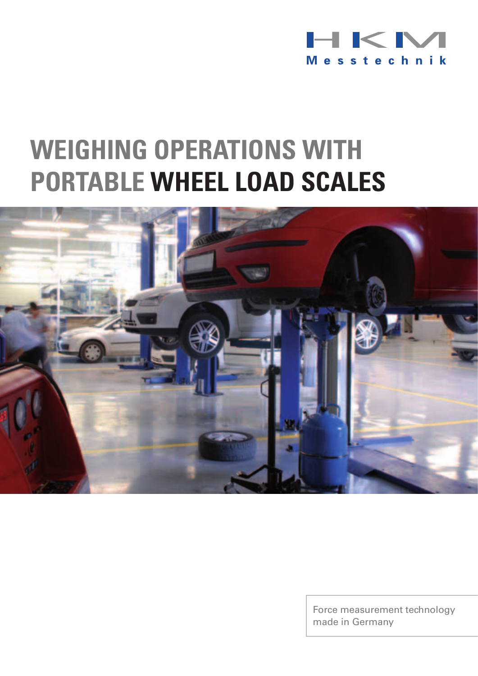## $H$  KN Messtechnik

## **WEIGHING OPERATIONS WITH PORTABLE WHEEL LOAD SCALES**



Force measurement technology made in Germany made in Germany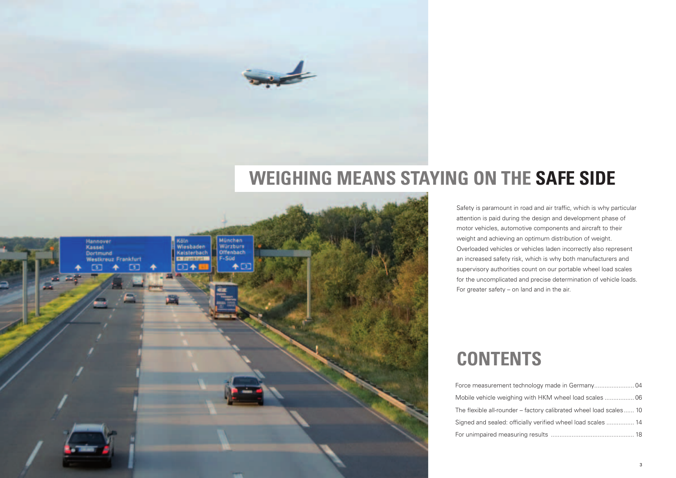

Safety is paramount in road and air traffic, which is why particular attention is paid during the design and development phase of motor vehicles, automotive components and aircraft to their weight and achieving an optimum distribution of weight. Overloaded vehicles or vehicles laden incorrectly also represent an increased safety risk, which is why both manufacturers and supervisory authorities count on our portable wheel load scales for the uncomplicated and precise determination of vehicle loads. For greater safety – on land and in the air.

## **CONTENTS**

Force measurement Mobile vehicle weight The flexible all-round Signed and sealed: o For unimpaired meas

| hing with HKM wheel load scales  06           |  |
|-----------------------------------------------|--|
| ler – factory calibrated wheel load scales 10 |  |
| officially verified wheel load scales  14     |  |
|                                               |  |

# **WEIGHING WEIGHING MEANS STAYING ON THE MEANS STAYING ON THE SAFE SIDE SAFE SIDE**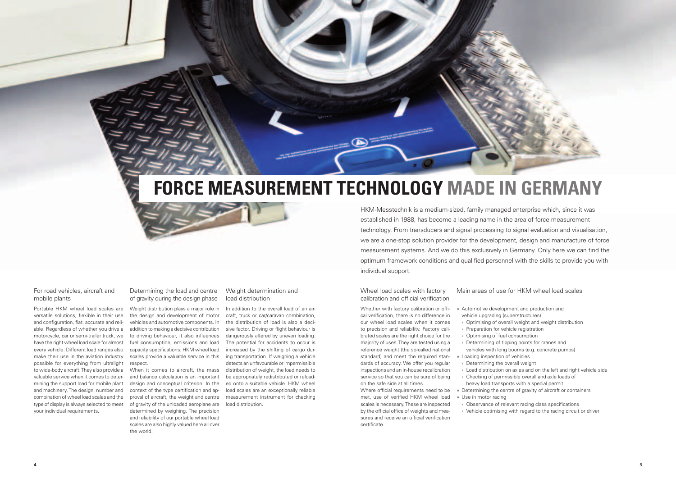HKM-Messtechnik is a medium-sized, family managed enterprise which, since it was established in 1988, has become a leading name in the area of force measurement technology. From transducers and signal processing to signal evaluation and visualisation, we are a one-stop solution provider for the development, design and manufacture of force measurement systems. And we do this exclusively in Germany. Only here we can find the optimum framework conditions and qualified personnel with the skills to provide you with individual support.

Main areas of use for HKM wheel load scales

- » Automotive development and production and
	-
	- vehicles with long booms (e.g. concrete pumps)
- › Load distribution on axles and on the left and right vehicle side
- › Checking of permissible overall and axle loads of
- heavy load transports with a special permit
- » Determining the centre of gravity of aircraft or containers
- vehicle upgrading (superstructures)
- › Optimising of overall weight and weight distribution
- › Preparation for vehicle registration
- › Optimising of fuel consumption › Determining of tipping points for cranes and
- » Loading inspection of vehicles
- › Determining the overall weight
- -
	-
	- » Use in motor racing
	-
	-

Where official requirements need to be met, use of verified HKM wheel load scales is necessary. These are inspected by the official office of weights and measures and receive an official verification certificate.

› Observance of relevant racing class specifications › Vehicle optimising with regard to the racing circuit or driver

Wheel load scales with factory calibration and official verification

Whether with factory calibration or offical verification, there is no difference in our wheel load scales when it comes to precision and reliability. Factory calibrated scales are the right choice for the majority of uses. They are tested using a reference weight (the so-called national standard) and meet the required standards of accuracy. We offer you regular inspections and an in-house recalibration service so that you can be sure of being on the safe side at all times.

# **FORCE MEASUREMENT TECHNOLOGY MADE IN GERMANY**

For road vehicles, aircraft and mobile plants

Portable HKM wheel load scales are versatile solutions, flexible in their use and configuration, flat, accurate and reliable. Regardless of whether you drive a motorcycle, car or semi-trailer truck, we have the right wheel load scale for almost every vehicle. Different load ranges also make their use in the aviation industry possible for everything from ultralight to wide-body aircraft. They also provide a valuable service when it comes to determining the support load for mobile plant and machinery. The design, number and combination of wheel load scales and the type of display is always selected to meet your individual requirements.

Determining the load and centre of gravity during the design phase

Weight distribution plays a major role in the design and development of motor vehicles and automotive components. In addition to making a decisive contribution to driving behaviour, it also influences fuel consumption, emissions and load capacity specifications. HKM wheel load scales provide a valuable service in this respect.

When it comes to aircraft, the mass and balance calculation is an important design and conceptual criterion. In the context of the type certification and approval of aircraft, the weight and centre of gravity of the unloaded aeroplane are determined by weighing. The precision and reliability of our portable wheel load scales are also highly valued here all over the world.

### Weight determination and load distribution

In addition to the overall load of an aircraft, truck or car/caravan combination, the distribution of load is also a decisive factor. Driving or flight behaviour is dangerously altered by uneven loading. The potential for accidents to occur is increased by the shifting of cargo during transportation. If weighing a vehicle detects an unfavourable or impermissible distribution of weight, the load needs to be appropriately redistributed or reloaded onto a suitable vehicle. HKM wheel load scales are an exceptionally reliable measurement instrument for checking load distribution.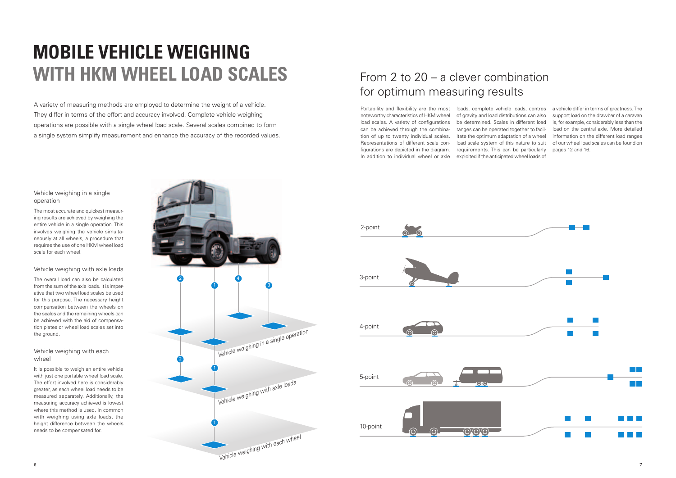



## From 2 to 20 – a clever combination for optimum measuring results

Portability and flexibility are the most noteworthy characteristics of HKM wheel of gravity and load distributions can also support load on the drawbar of a caravan load scales. A variety of configurations be determined. Scales in different load is, for example, considerably less than the can be achieved through the combina-ranges can be operated together to facil-load on the central axle. More detailed tion of up to twenty individual scales. Representations of different scale configurations are depicted in the diagram. requirements. This can be particularly pages 12 and 16. In addition to individual wheel or axle exploited if the anticipated wheel loads of

The most accurate and quickest measuring results are achieved by weighing the entire vehicle in a single operation. This involves weighing the vehicle simultaneously at all wheels, a procedure that requires the use of one HKM wheel load scale for each wheel.

The overall load can also be calculated from the sum of the axle loads. It is imperative that two wheel load scales be used for this purpose. The necessary height compensation between the wheels on the scales and the remaining wheels can be achieved with the aid of compensation plates or wheel load scales set into the ground.

loads, complete vehicle loads, centres a vehicle differ in terms of greatness. The itate the optimum adaptation of a wheel information on the different load ranges load scale system of this nature to suit of our wheel load scales can be found on

It is possible to weigh an entire vehicle with just one portable wheel load scale. The effort involved here is considerably greater, as each wheel load needs to be measured separately. Additionally, the measuring accuracy achieved is lowest where this method is used. In common with weighing using axle loads, the height difference between the wheels needs to be compensated for.

### Vehicle weighing in a single operation

### Vehicle weighing with axle loads

### Vehicle weighing with each wheel

# **MOBILE vEHICLE WEIGHING WITH HKM WHEEL LOAD SCALES**

A variety of measuring methods are employed to determine the weight of a vehicle. They differ in terms of the effort and accuracy involved. Complete vehicle weighing operations are possible with a single wheel load scale. Several scales combined to form a single system simplify measurement and enhance the accuracy of the recorded values.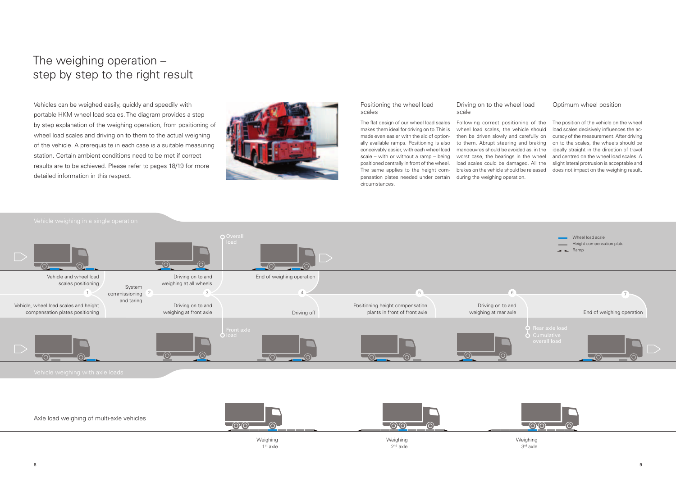### The weighing operation – step by step to the right result



The flat design of our wheel load scales makes them ideal for driving on to. This is made even easier with the aid of optionally available ramps. Positioning is also conceivably easier, with each wheel load scale – with or without a ramp – being positioned centrally in front of the wheel. The same applies to the height compensation plates needed under certain circumstances.

Vehicles can be weighed easily, quickly and speedily with portable HKM wheel load scales. The diagram provides a step by step explanation of the weighing operation, from positioning of wheel load scales and driving on to them to the actual weighing of the vehicle. A prerequisite in each case is a suitable measuring station. Certain ambient conditions need to be met if correct results are to be achieved. Please refer to pages 18/19 for more detailed information in this respect.



### Positioning the wheel load scales

### Driving on to the wheel load scale

Following correct positioning of the wheel load scales, the vehicle should then be driven slowly and carefully on to them. Abrupt steering and braking manoeuvres should be avoided as, in the worst case, the bearings in the wheel load scales could be damaged. All the slight lateral protrusion is acceptable and brakes on the vehicle should be released does not impact on the weighing result.during the weighing operation.

### Optimum wheel position

The position of the vehicle on the wheel load scales decisively influences the accuracy of the measurement. After driving on to the scales, the wheels should be ideally straight in the direction of travel and centred on the wheel load scales. A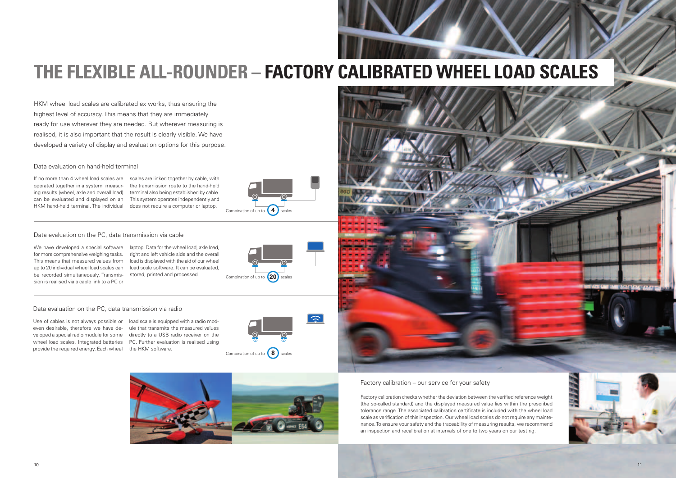













HKM wheel load scales are calibrated ex works, thus ensuring the highest level of accuracy. This means that they are immediately ready for use wherever they are needed. But wherever measuring is realised, it is also important that the result is clearly visible. We have developed a variety of display and evaluation options for this purpose.

If no more than 4 wheel load scales are scales are linked together by cable, with operated together in a system, measur-the transmission route to the hand-held ing results (wheel, axle and overall load) terminal also being established by cable. can be evaluated and displayed on an This system operates independently and HKM hand-held terminal. The individual does not require a computer or laptop.

We have developed a special software laptop. Data for the wheel load, axle load, for more comprehensive weighing tasks. right and left vehicle side and the overall This means that measured values from load is displayed with the aid of our wheel up to 20 individual wheel load scales can load scale software. It can be evaluated, be recorded simultaneously. Transmis-stored, printed and processed. sion is realised via a cable link to a PC or



# **FACTORY CALIBRATED WHEEL LOAD SCALES – THE FLEXIBLE ALL-ROUNDER THE FLEXIBLE ALL-RO ALL-ROUUNDER – FACTORY FACTORY CALIBRATED WHEEL LOAD SCALES CALIBRATED WHEEL LOAD SCALES**

Use of cables is not always possible or load scale is equipped with a radio modeven desirable, therefore we have de-ule that transmits the measured values veloped a special radio module for some directly to a USB radio receiver on the wheel load scales. Integrated batteries PC. Further evaluation is realised using provide the required energy. Each wheel the HKM software.

### Data evaluation on hand-held terminal

### Data evaluation on the PC, data transmission via cable

### Data evaluation on the PC, data transmission via radio

### Factory calibration – our service for your safety

Factory calibration checks whether the deviation between the verified reference weight (the so-called standard) and the displayed measured value lies within the prescribed tolerance range. The associated calibration certificate is included with the wheel load scale as verification of this inspection. Our wheel load scales do not require any maintenance. To ensure your safety and the traceability of measuring results, we recommend an inspection and recalibration at intervals of one to two years on our test rig.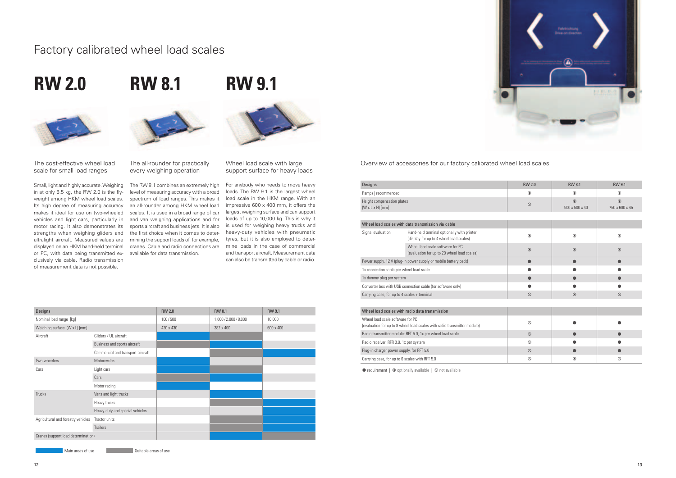



# **RW 2.0 RW 8.1 RW 9.1**



The cost-effective wheel load scale for small load ranges

Small, light and highly accurate. Weighing in at only 6.5 kg, the RW 2.0 is the flyweight among HKM wheel load scales. motor racing. It also demonstrates its strengths when weighing gliders and or PC, with data being transmitted ex-available for data transmission. clusively via cable. Radio transmission of measurement data is not possible.

Its high degree of measuring accuracy an all-rounder among HKM wheel load makes it ideal for use on two-wheeled scales. It is used in a broad range of car vehicles and light cars, particularly in and van weighing applications and for ultralight aircraft. Measured values are mining the support loads of, for example, displayed on an HKM hand-held terminal cranes. Cable and radio connections are The RW 8.1 combines an extremely high level of measuring accuracy with a broad spectrum of load ranges. This makes it sports aircraft and business jets. It is also the first choice when it comes to deter-

The all-rounder for practically every weighing operation

Wheel load scale with large

support surface for heavy loads

For anybody who needs to move heavy loads. The RW 9.1 is the largest wheel load scale in the HKM range. With an impressive 600 x 400 mm, it offers the largest weighing surface and can support loads of up to 10,000 kg. This is why it is used for weighing heavy trucks and heavy-duty vehicles with pneumatic tyres, but it is also employed to determine loads in the case of commercial and transport aircraft. Measurement data can also be transmitted by cable or radio.

### Factory calibrated wheel load scales

| Designs                                                                                                      |                                                                                       | <b>RW 2.0</b> | <b>RW 8.1</b>             | <b>RW 9.1</b>             |
|--------------------------------------------------------------------------------------------------------------|---------------------------------------------------------------------------------------|---------------|---------------------------|---------------------------|
| Ramps   recommended                                                                                          |                                                                                       | $\odot$       | $\odot$                   | $\odot$                   |
| Height compensation plates<br>$(W \times L \times H)$ [mm]                                                   |                                                                                       | $\circ$       | $\odot$<br>500 x 500 x 40 | $\odot$<br>750 x 600 x 45 |
|                                                                                                              |                                                                                       |               |                           |                           |
| Wheel load scales with data transmission via cable                                                           |                                                                                       |               |                           |                           |
| Signal evaluation                                                                                            | Hand-held terminal optionally with printer<br>(display for up to 4 wheel load scales) | $\odot$       | $\odot$                   | $\odot$                   |
|                                                                                                              | Wheel load scale software for PC<br>(evaluation for up to 20 wheel load scales)       | $\odot$       | $\odot$                   | $\odot$                   |
| Power supply, 12 V (plug-in power supply or mobile battery pack)                                             |                                                                                       | $\bullet$     |                           |                           |
| 1x connection cable per wheel load scale                                                                     |                                                                                       |               |                           |                           |
| 1x dummy plug per system                                                                                     |                                                                                       |               |                           |                           |
| Converter box with USB connection cable (for software only)                                                  |                                                                                       |               |                           |                           |
| Carrying case, for up to 4 scales + terminal                                                                 |                                                                                       | $\circ$       | $\odot$                   | $\circ$                   |
|                                                                                                              |                                                                                       |               |                           |                           |
|                                                                                                              | Wheel load scales with radio data transmission                                        |               |                           |                           |
| Wheel load scale software for PC<br>(evaluation for up to 8 wheel load scales with radio transmitter module) |                                                                                       | $\circ$       |                           |                           |
| Radio transmitter module: RFT 5.0, 1x per wheel load scale                                                   |                                                                                       | $\circ$       |                           |                           |
| Radio receiver: RFR 3.0, 1x per system                                                                       |                                                                                       | $\circ$       |                           |                           |
| Plug-in charger power supply, for RFT 5.0                                                                    |                                                                                       | $\circ$       |                           |                           |
| Carrying case, for up to 6 scales with RFT 5.0                                                               |                                                                                       | $\circ$       | $\odot$                   | $\circ$                   |

| Designs                                                                                                      |                                                                                       | <b>RW 2.0</b>  | <b>RW 8.1</b>             | <b>RW 9.1</b>             |
|--------------------------------------------------------------------------------------------------------------|---------------------------------------------------------------------------------------|----------------|---------------------------|---------------------------|
| Ramps   recommended                                                                                          |                                                                                       | $\odot$        | $\odot$                   | $\odot$                   |
| Height compensation plates<br>$W \times L \times H$ [mm]                                                     |                                                                                       | $\circledcirc$ | $\odot$<br>500 x 500 x 40 | $\odot$<br>750 x 600 x 45 |
|                                                                                                              |                                                                                       |                |                           |                           |
|                                                                                                              | Wheel load scales with data transmission via cable                                    |                |                           |                           |
| Signal evaluation                                                                                            | Hand-held terminal optionally with printer<br>(display for up to 4 wheel load scales) | $\odot$        | $\circledcirc$            | $\odot$                   |
|                                                                                                              | Wheel load scale software for PC<br>(evaluation for up to 20 wheel load scales)       | $\odot$        | $\odot$                   | $\odot$                   |
| Power supply, 12 V (plug-in power supply or mobile battery pack)                                             |                                                                                       | $\bullet$      | $\bullet$                 |                           |
| 1x connection cable per wheel load scale                                                                     |                                                                                       |                |                           |                           |
| 1x dummy plug per system                                                                                     |                                                                                       | $\bullet$      | $\bullet$                 | $\bullet$                 |
| Converter box with USB connection cable (for software only)                                                  |                                                                                       |                |                           |                           |
| Carrying case, for up to 4 scales + terminal                                                                 |                                                                                       | $\circledcirc$ | $\circledcirc$            | $\circ$                   |
|                                                                                                              |                                                                                       |                |                           |                           |
|                                                                                                              | Wheel load scales with radio data transmission                                        |                |                           |                           |
| Wheel load scale software for PC<br>(evaluation for up to 8 wheel load scales with radio transmitter module) |                                                                                       | $\circ$        |                           |                           |
| Radio transmitter module: RFT 5.0, 1x per wheel load scale                                                   |                                                                                       | $\circ$        | $\bullet$                 |                           |
| Radio receiver: RFR 3.0, 1x per system                                                                       |                                                                                       | $\circ$        |                           |                           |
| Plug-in charger power supply, for RFT 5.0                                                                    |                                                                                       | $\circ$        | $\bullet$                 |                           |
| Carrying case, for up to 6 scales with RFT 5.0                                                               |                                                                                       | $\circ$        | $\odot$                   | $\circ$                   |

| Wheel load scales with radio data transmission                                                               |  |
|--------------------------------------------------------------------------------------------------------------|--|
| Wheel load scale software for PC<br>(evaluation for up to 8 wheel load scales with radio transmitter module) |  |
| Radio transmitter module: RFT 5.0, 1x per wheel load scale                                                   |  |
| Radio receiver: RFR 3.0, 1x per system                                                                       |  |
| Plug-in charger power supply, for RFT 5.0                                                                    |  |
| Carrying case, for up to 6 scales with RFT 5.0                                                               |  |

 $\bullet$  requirement |  $\odot$  optionally available |  $\odot$  not available

### Overview of accessories for our factory calibrated wheel load scales

| Designs                             |                                   | <b>RW 2.0</b> | <b>RW 8.1</b>     | RW 9.1    |
|-------------------------------------|-----------------------------------|---------------|-------------------|-----------|
| Nominal load range [kg]             |                                   | 100/500       | 1,000/2,000/8,000 | 10,000    |
| Weighing surface (W x L) [mm]       |                                   | 420 x 430     | 382 x 400         | 600 x 400 |
| Aircraft                            | Gliders / UL aircraft             |               |                   |           |
|                                     | Business and sports aircraft      |               |                   |           |
|                                     | Commercial and transport aircraft |               |                   |           |
| Two-wheelers                        | Motorcycles                       |               |                   |           |
| Cars                                | Light cars                        |               |                   |           |
|                                     | Cars                              |               |                   |           |
|                                     | Motor racing                      |               |                   |           |
| <b>Trucks</b>                       | Vans and light trucks             |               |                   |           |
|                                     | Heavy trucks                      |               |                   |           |
|                                     | Heavy-duty and special vehicles   |               |                   |           |
| Agricultural and forestry vehicles  | Tractor units                     |               |                   |           |
|                                     | <b>Trailers</b>                   |               |                   |           |
| Cranes (support load determination) |                                   |               |                   |           |

Main areas of use Suitable areas of use

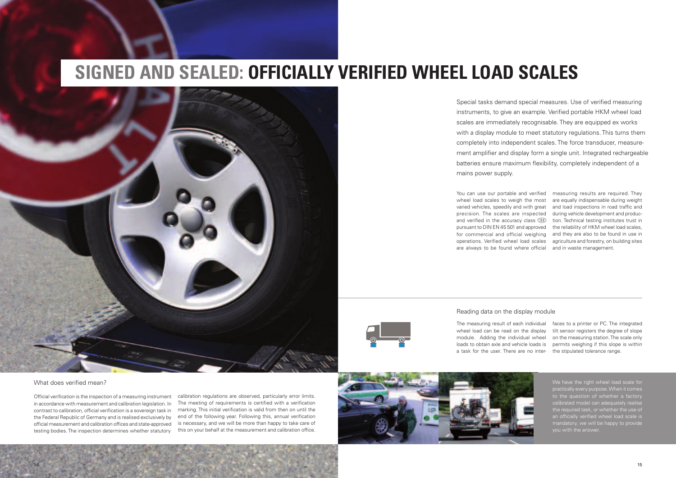### What does verified mean?

Official verification is the inspection of a measuring instrument in accordance with measurement and calibration legislation. In contrast to calibration, official verification is a sovereign task in the Federal Republic of Germany and is realised exclusively by official measurement and calibration offices and state-approved testing bodies. The inspection determines whether statutory

calibration regulations are observed, particularly error limits. The meeting of requirements is certified with a verification marking. This initial verification is valid from then on until the end of the following year. Following this, annual verification is necessary, and we will be more than happy to take care of this on your behalf at the measurement and calibration office.



wheel load scales to weigh the most and verified in the accuracy class (III)

> We have the right wheel load scale for calibrated model can adequately realise the required task, or whether the use of an officially verified wheel load scale is are onlocally verified written load scale is<br>mandatory, we will be happy to provide

# SIGNED AND SEALED: OFFICIALLY VERIFIED WHEEL LOAD SCALES



Special tasks demand special measures. Use of verified measuring instruments, to give an example. Verified portable HKM wheel load scales are immediately recognisable. They are equipped ex works with a display module to meet statutory regulations. This turns them completely into independent scales. The force transducer, measurement amplifier and display form a single unit. Integrated rechargeable batteries ensure maximum flexibility, completely independent of a mains power supply.

The measuring result of each individual faces to a printer or PC. The integrated wheel load can be read on the display tilt sensor registers the degree of slope module. Adding the individual wheel on the measuring station. The scale only loads to obtain axle and vehicle loads is permits weighing if this slope is within a task for the user. There are no inter- the stipulated tolerance range.

You can use our portable and verified measuring results are required. They varied vehicles, speedily and with great and load inspections in road traffic and precision. The scales are inspected during vehicle development and producpursuant to DIN EN 45 501 and approved the reliability of HKM wheel load scales, for commercial and official weighing and they are also to be found in use in operations. Verified wheel load scales agriculture and forestry, on building sites are always to be found where official and in waste management. are equally indispensable during weight tion. Technical testing institutes trust in



### Reading data on the display module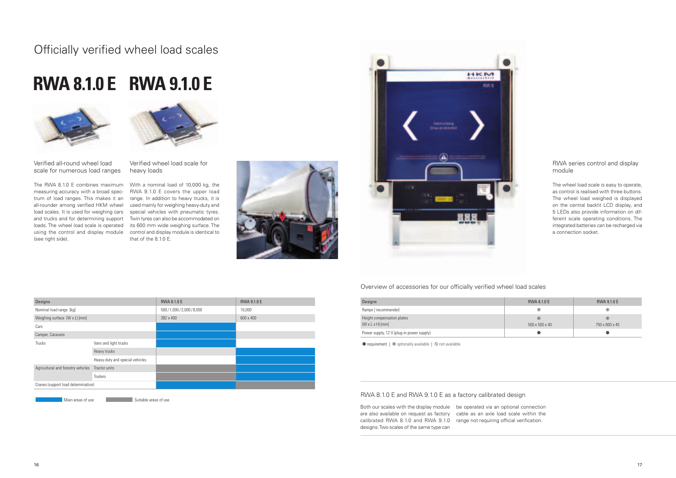## **RWA 8.1.0 E RWA 9.1.0 E**



Verified all-round wheel load scale for numerous load ranges

(see right side).



Verified wheel load scale for heavy loads

The RWA 8.1.0 E combines maximum With a nominal load of 10,000 kg, the measuring accuracy with a broad spec-RWA 9.1.0 E covers the upper load trum of load ranges. This makes it an range. In addition to heavy trucks, it is all-rounder among verified HKM wheel used mainly for weighing heavy-duty and load scales. It is used for weighing cars special vehicles with pneumatic tyres. and trucks and for determining support Twin tyres can also be accommodated on loads. The wheel load scale is operated its 600 mm wide weighing surface. The using the control and display module control and display module is identical to that of the 8.1.0 E.





### Officially verified wheel load scales

Both our scales with the display module be operated via an optional connection are also available on request as factory cable as an axle load scale within the calibrated RWA 8.1.0 and RWA 9.1.0 range not requiring official verification. designs. Two scales of the same type can

### RWA 8.1.0 E and RWA 9.1.0 E as a factory calibrated design

| Designs                                          |                                 | <b>RWA 8.1.0 E</b>    | <b>RWA 9.1.0 E</b> |
|--------------------------------------------------|---------------------------------|-----------------------|--------------------|
| Nominal load range [kg]                          |                                 | 500/1,000/2,000/8,000 | 10,000             |
| Weighing surface (W x L) [mm]                    |                                 | 382 x 400             | 600 x 400          |
| Cars                                             |                                 |                       |                    |
| Camper, Caravans                                 |                                 |                       |                    |
| Trucks                                           | Vans and light trucks           |                       |                    |
|                                                  | Heavy trucks                    |                       |                    |
|                                                  | Heavy-duty and special vehicles |                       |                    |
| Agricultural and forestry vehicles Tractor units |                                 |                       |                    |
|                                                  | <b>Trailers</b>                 |                       |                    |
| Cranes (support load determination)              |                                 |                       |                    |

Main areas of use Suitable areas of use



| Designs                                                    | <b>RWA 8.1.0 E</b>        | <b>RWA 9.1.0 E</b>        |
|------------------------------------------------------------|---------------------------|---------------------------|
| Ramps   recommended                                        | $\odot$                   | $_{\odot}$                |
| Height compensation plates<br>$(W \times L \times H)$ [mm] | $\circ$<br>500 x 500 x 40 | $\odot$<br>750 x 600 x 45 |
| Power supply, 12 V (plug-in power supply)                  |                           |                           |

 $\bullet$  requirement |  $\bullet$  optionally available |  $\circ$  not available

### RWA series control and display module

The wheel load scale is easy to operate, as control is realised with three buttons. The wheel load weighed is displayed on the central backlit LCD display, and 5 LEDs also provide information on different scale operating conditions. The integrated batteries can be recharged via a connection socket.

### Overview of accessories for our officially verified wheel load scales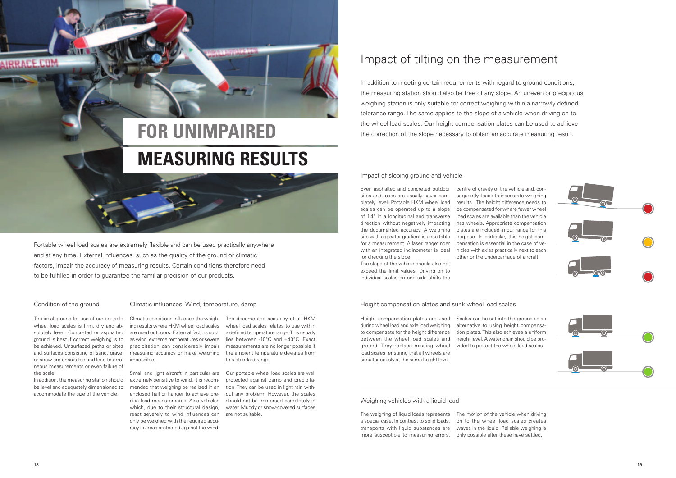



# **FOR UNIMPAIRED MEASURING RESULTS**

Portable wheel load scales are extremely flexible and can be used practically anywhere and at any time. External influences, such as the quality of the ground or climatic factors, impair the accuracy of measuring results. Certain conditions therefore need to be fulfilled in order to guarantee the familiar precision of our products.

#### Condition of the ground

The ideal ground for use of our portable wheel load scales is firm, dry and absolutely level. Concreted or asphalted ground is best if correct weighing is to be achieved. Unsurfaced paths or sites and surfaces consisting of sand, gravel or snow are unsuitable and lead to erroneous measurements or even failure of the scale.

In addition, the measuring station should be level and adequately dimensioned to accommodate the size of the vehicle.

### Impact of tilting on the measurement

In addition to meeting certain requirements with regard to ground conditions, the measuring station should also be free of any slope. An uneven or precipitous weighing station is only suitable for correct weighing within a narrowly defined tolerance range. The same applies to the slope of a vehicle when driving on to the wheel load scales. Our height compensation plates can be used to achieve the correction of the slope necessary to obtain an accurate measuring result.

Even asphalted and concreted outdoor sites and roads are usually never completely level. Portable HKM wheel load scales can be operated up to a slope of 1.4° in a longitudinal and transverse direction without negatively impacting the documented accuracy. A weighing site with a greater gradient is unsuitable for a measurement. A laser rangefinder with an integrated inclinometer is ideal for checking the slope.

The weighing of liquid loads represents a special case. In contrast to solid loads, on to the wheel load scales creates transports with liquid substances are waves in the liquid. Reliable weighing is more susceptible to measuring errors. only possible after these have settled.

The slope of the vehicle should also not exceed the limit values. Driving on to individual scales on one side shifts the centre of gravity of the vehicle and, consequently, leads to inaccurate weighing results. The height difference needs to be compensated for where fewer wheel load scales are available than the vehicle has wheels. Appropriate compensation plates are included in our range for this purpose. In particular, this height compensation is essential in the case of vehicles with axles practically next to each other or the undercarriage of aircraft.

Height compensation plates are used during wheel load and axle load weighing to compensate for the height difference between the wheel load scales and ground. They replace missing wheel load scales, ensuring that all wheels are simultaneously at the same height level.

Scales can be set into the ground as an alternative to using height compensation plates. This also achieves a uniform height level. A water drain should be provided to protect the wheel load scales.

The motion of the vehicle when driving

#### Impact of sloping ground and vehicle

Height compensation plates and sunk wheel load scales

### Weighing vehicles with a liquid load

Climatic conditions influence the weighing results where HKM wheel load scales are used outdoors. External factors such as wind, extreme temperatures or severe precipitation can considerably impair measuring accuracy or make weighing impossible.

Small and light aircraft in particular are extremely sensitive to wind. It is recommended that weighing be realised in an enclosed hall or hanger to achieve precise load measurements. Also vehicles which, due to their structural design, water. Muddy or snow-covered surfaces react severely to wind influences can only be weighed with the required accuracy in areas protected against the wind.

The documented accuracy of all HKM wheel load scales relates to use within a defined temperature range. This usually lies between -10°C and +40°C. Exact measurements are no longer possible if the ambient temperature deviates from this standard range.

Our portable wheel load scales are well protected against damp and precipitation. They can be used in light rain without any problem. However, the scales should not be immersed completely in are not suitable.

Climatic influences: Wind, temperature, damp